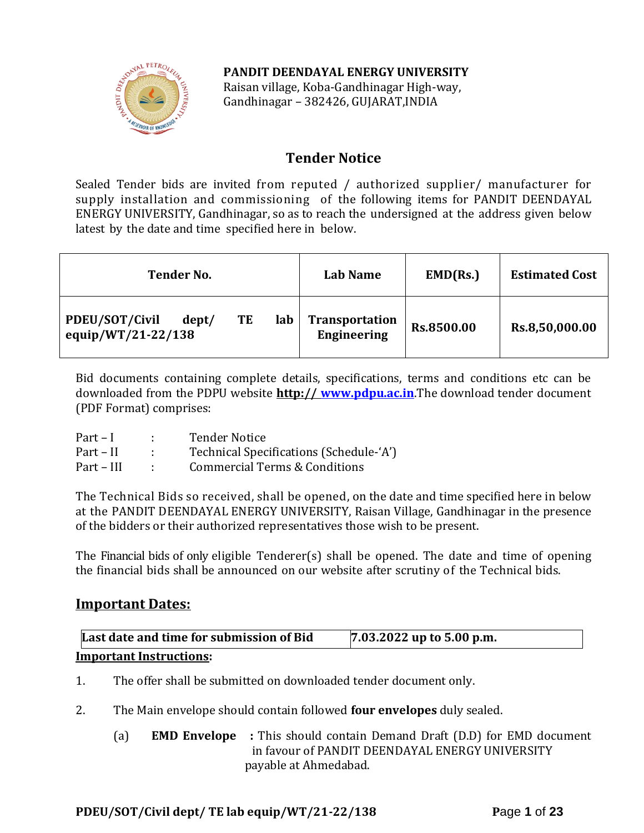# **PANDIT DEENDAYAL ENERGY UNIVERSITY**



Raisan village, Koba-Gandhinagar High-way, Gandhinagar – 382426, GUJARAT,INDIA

# **Tender Notice**

Sealed Tender bids are invited from reputed / authorized supplier/ manufacturer for supply installation and commissioning of the following items for PANDIT DEENDAYAL ENERGY UNIVERSITY, Gandhinagar, so as to reach the undersigned at the address given below latest by the date and time specified here in below.

| <b>Tender No.</b>                                          | Lab Name                                    | EMD(Rs.)   | <b>Estimated Cost</b> |
|------------------------------------------------------------|---------------------------------------------|------------|-----------------------|
| PDEU/SOT/Civil<br>lab<br>TE<br>dept/<br>equip/WT/21-22/138 | <b>Transportation</b><br><b>Engineering</b> | Rs.8500.00 | Rs.8,50,000.00        |

Bid documents containing complete details, specifications, terms and conditions etc can be downloaded from the PDPU website **http:// [www.pdpu.ac.in](http://www.pdpu.ac.in/)**.The download tender document (PDF Format) comprises:

| $Part-I$   | <b>Tender Notice</b>                    |
|------------|-----------------------------------------|
| Part – II  | Technical Specifications (Schedule-'A') |
| Part – III | Commercial Terms & Conditions           |

The Technical Bids so received, shall be opened, on the date and time specified here in below at the PANDIT DEENDAYAL ENERGY UNIVERSITY, Raisan Village, Gandhinagar in the presence of the bidders or their authorized representatives those wish to be present.

The Financial bids of only eligible Tenderer(s) shall be opened. The date and time of opening the financial bids shall be announced on our website after scrutiny of the Technical bids.

# **Important Dates:**

| Last date and time for submission of Bid | $7.03.2022$ up to 5.00 p.m. |
|------------------------------------------|-----------------------------|
| <b>Important Instructions:</b>           |                             |

- 1. The offer shall be submitted on downloaded tender document only.
- 2. The Main envelope should contain followed **four envelopes** duly sealed.
	- (a) **EMD Envelope :** This should contain Demand Draft (D.D) for EMD document in favour of PANDIT DEENDAYAL ENERGY UNIVERSITY payable at Ahmedabad.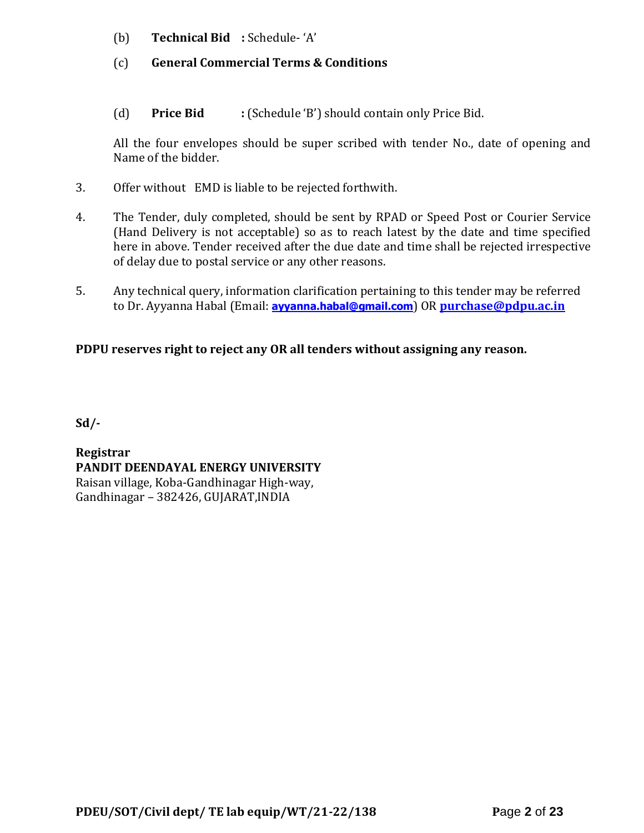- (b) **Technical Bid :** Schedule- 'A'
- (c) **General Commercial Terms & Conditions**
- (d) **Price Bid :** (Schedule 'B') should contain only Price Bid.

All the four envelopes should be super scribed with tender No., date of opening and Name of the bidder.

- 3. Offer without EMD is liable to be rejected forthwith.
- 4. The Tender, duly completed, should be sent by RPAD or Speed Post or Courier Service (Hand Delivery is not acceptable) so as to reach latest by the date and time specified here in above. Tender received after the due date and time shall be rejected irrespective of delay due to postal service or any other reasons.
- 5. Any technical query, information clarification pertaining to this tender may be referred to Dr. Ayyanna Habal (Email: **[ayyanna.habal@gmail.com](mailto:ayyanna.habal@gmail.com)**) OR **[purchase@pdpu.ac.in](mailto:purchase@pdpu.ac.in)**

# **PDPU reserves right to reject any OR all tenders without assigning any reason.**

**Sd/-**

**Registrar PANDIT DEENDAYAL ENERGY UNIVERSITY** Raisan village, Koba-Gandhinagar High-way, Gandhinagar – 382426, GUJARAT,INDIA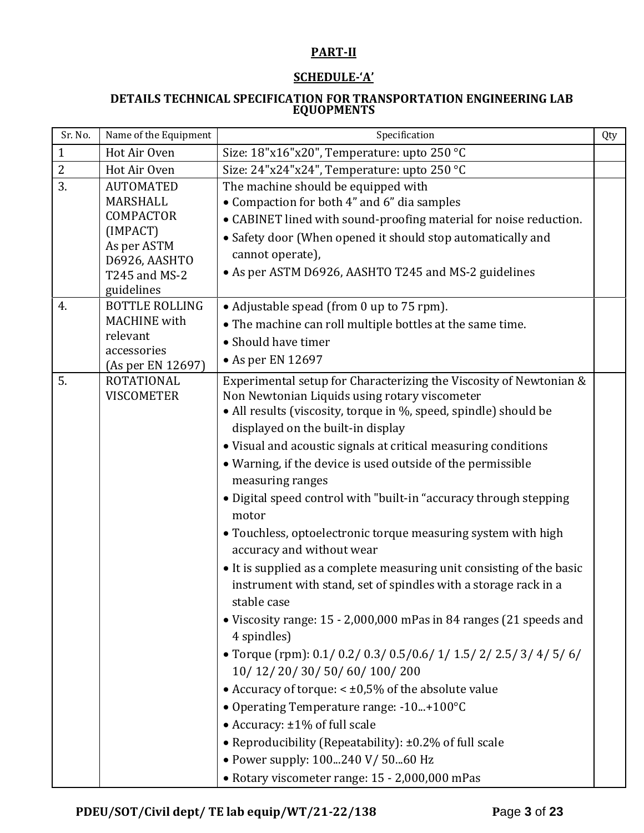# **PART-II**

# **SCHEDULE-'A'**

#### **DETAILS TECHNICAL SPECIFICATION FOR TRANSPORTATION ENGINEERING LAB EQUOPMENTS**

| Sr. No.          | Name of the Equipment                                                                                                       | Specification                                                                                                                                                                                                                                                                                                                                                                                                                                                                                                                                                                                                                                                                                                                                                                                                                                                                                                                                                                                                                                                                                                                                                                                              | Qty |
|------------------|-----------------------------------------------------------------------------------------------------------------------------|------------------------------------------------------------------------------------------------------------------------------------------------------------------------------------------------------------------------------------------------------------------------------------------------------------------------------------------------------------------------------------------------------------------------------------------------------------------------------------------------------------------------------------------------------------------------------------------------------------------------------------------------------------------------------------------------------------------------------------------------------------------------------------------------------------------------------------------------------------------------------------------------------------------------------------------------------------------------------------------------------------------------------------------------------------------------------------------------------------------------------------------------------------------------------------------------------------|-----|
| $\mathbf{1}$     | Hot Air Oven                                                                                                                | Size: 18"x16"x20", Temperature: upto 250 °C                                                                                                                                                                                                                                                                                                                                                                                                                                                                                                                                                                                                                                                                                                                                                                                                                                                                                                                                                                                                                                                                                                                                                                |     |
| $\overline{2}$   | Hot Air Oven                                                                                                                | Size: 24"x24"x24", Temperature: upto 250 °C                                                                                                                                                                                                                                                                                                                                                                                                                                                                                                                                                                                                                                                                                                                                                                                                                                                                                                                                                                                                                                                                                                                                                                |     |
| $\overline{3}$ . | <b>AUTOMATED</b><br>MARSHALL<br><b>COMPACTOR</b><br>(IMPACT)<br>As per ASTM<br>D6926, AASHTO<br>T245 and MS-2<br>guidelines | The machine should be equipped with<br>• Compaction for both 4" and 6" dia samples<br>• CABINET lined with sound-proofing material for noise reduction.<br>• Safety door (When opened it should stop automatically and<br>cannot operate),<br>• As per ASTM D6926, AASHTO T245 and MS-2 guidelines                                                                                                                                                                                                                                                                                                                                                                                                                                                                                                                                                                                                                                                                                                                                                                                                                                                                                                         |     |
| 4.               | <b>BOTTLE ROLLING</b><br><b>MACHINE</b> with<br>relevant<br>accessories<br>(As per EN 12697)                                | • Adjustable spead (from 0 up to 75 rpm).<br>• The machine can roll multiple bottles at the same time.<br>• Should have timer<br>$\bullet$ As per EN 12697                                                                                                                                                                                                                                                                                                                                                                                                                                                                                                                                                                                                                                                                                                                                                                                                                                                                                                                                                                                                                                                 |     |
| 5.               | ROTATIONAL<br><b>VISCOMETER</b>                                                                                             | Experimental setup for Characterizing the Viscosity of Newtonian &<br>Non Newtonian Liquids using rotary viscometer<br>• All results (viscosity, torque in %, speed, spindle) should be<br>displayed on the built-in display<br>• Visual and acoustic signals at critical measuring conditions<br>• Warning, if the device is used outside of the permissible<br>measuring ranges<br>· Digital speed control with "built-in "accuracy through stepping<br>motor<br>• Touchless, optoelectronic torque measuring system with high<br>accuracy and without wear<br>• It is supplied as a complete measuring unit consisting of the basic<br>instrument with stand, set of spindles with a storage rack in a<br>stable case<br>• Viscosity range: 15 - 2,000,000 mPas in 84 ranges (21 speeds and<br>4 spindles)<br>• Torque (rpm): $0.1/0.2/0.3/0.5/0.6/1/1.5/2/2.5/3/4/5/6/$<br>10/ 12/ 20/ 30/ 50/ 60/ 100/ 200<br>• Accuracy of torque: $< \pm 0.5\%$ of the absolute value<br>• Operating Temperature range: -10+100°C<br>• Accuracy: ±1% of full scale<br>• Reproducibility (Repeatability): ±0.2% of full scale<br>• Power supply: 100240 V/ 5060 Hz<br>• Rotary viscometer range: 15 - 2,000,000 mPas |     |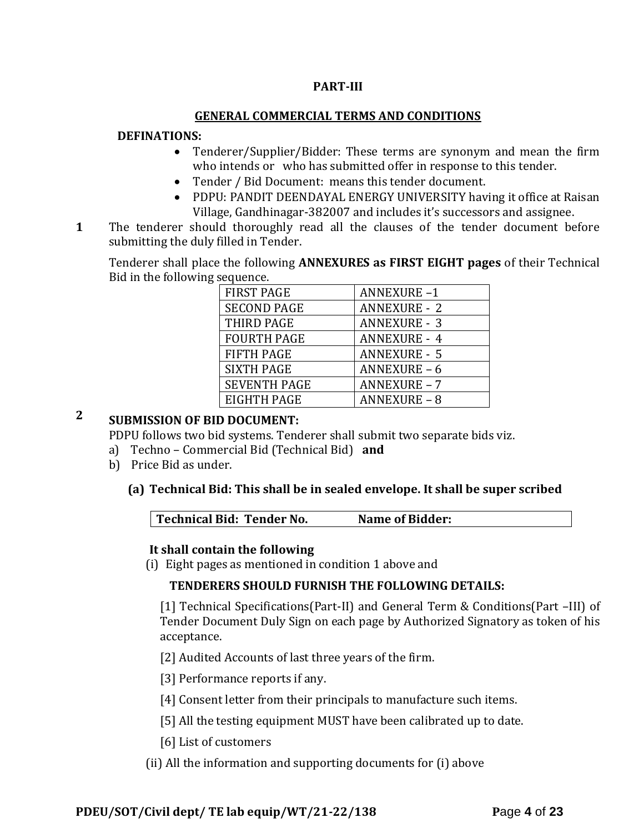## **PART-III**

### **GENERAL COMMERCIAL TERMS AND CONDITIONS**

#### **DEFINATIONS:**

- Tenderer/Supplier/Bidder: These terms are synonym and mean the firm who intends or who has submitted offer in response to this tender.
- Tender / Bid Document: means this tender document.
- PDPU: PANDIT DEENDAYAL ENERGY UNIVERSITY having it office at Raisan Village, Gandhinagar-382007 and includes it's successors and assignee.
- **1**1. The tenderer should thoroughly read all the clauses of the tender document before submitting the duly filled in Tender.

Tenderer shall place the following **ANNEXURES as FIRST EIGHT pages** of their Technical Bid in the following sequence.

| <b>FIRST PAGE</b>   | <b>ANNEXURE-1</b>   |
|---------------------|---------------------|
| <b>SECOND PAGE</b>  | <b>ANNEXURE - 2</b> |
| THIRD PAGE          | <b>ANNEXURE - 3</b> |
| <b>FOURTH PAGE</b>  | <b>ANNEXURE - 4</b> |
| <b>FIFTH PAGE</b>   | <b>ANNEXURE - 5</b> |
| <b>SIXTH PAGE</b>   | <b>ANNEXURE - 6</b> |
| <b>SEVENTH PAGE</b> | <b>ANNEXURE - 7</b> |
| EIGHTH PAGE         | <b>ANNEXURE - 8</b> |

# **2 SUBMISSION OF BID DOCUMENT:**

PDPU follows two bid systems. Tenderer shall submit two separate bids viz.

- a) Techno Commercial Bid (Technical Bid) **and**
- b) Price Bid as under.

### **(a) Technical Bid: This shall be in sealed envelope. It shall be super scribed**

|  | Technical Bid: Tender No.<br><b>Name of Bidder:</b> |  |
|--|-----------------------------------------------------|--|
|--|-----------------------------------------------------|--|

#### **It shall contain the following**

(i) Eight pages as mentioned in condition 1 above and

### **TENDERERS SHOULD FURNISH THE FOLLOWING DETAILS:**

[1] Technical Specifications(Part-II) and General Term & Conditions(Part –III) of Tender Document Duly Sign on each page by Authorized Signatory as token of his acceptance.

[2] Audited Accounts of last three years of the firm.

[3] Performance reports if any.

[4] Consent letter from their principals to manufacture such items.

- [5] All the testing equipment MUST have been calibrated up to date.
- [6] List of customers
- (ii) All the information and supporting documents for (i) above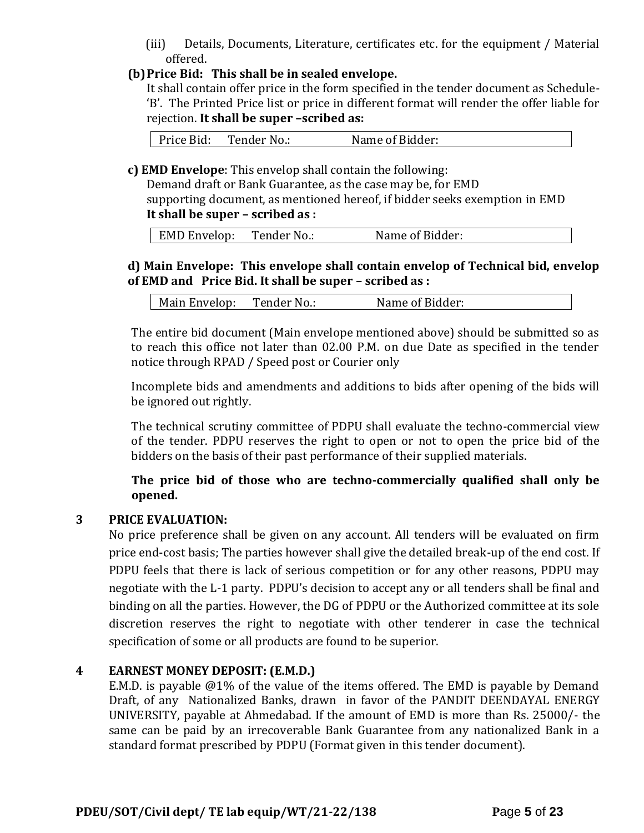(iii) Details, Documents, Literature, certificates etc. for the equipment / Material offered.

# **(b)Price Bid: This shall be in sealed envelope.**

It shall contain offer price in the form specified in the tender document as Schedule- 'B'. The Printed Price list or price in different format will render the offer liable for rejection. **It shall be super –scribed as:**

Price Bid: Tender No.: Name of Bidder:

**c) EMD Envelope**: This envelop shall contain the following:

Demand draft or Bank Guarantee, as the case may be, for EMD supporting document, as mentioned hereof, if bidder seeks exemption in EMD **It shall be super – scribed as :**

| EMD Envelop: | Tender No.: | Name of Bidder: |
|--------------|-------------|-----------------|
|              |             |                 |

# **d) Main Envelope: This envelope shall contain envelop of Technical bid, envelop of EMD and Price Bid. It shall be super – scribed as :**

| Name of Bidder:<br>Tender No.:<br>Main Envelop: |  |  |  |
|-------------------------------------------------|--|--|--|
|-------------------------------------------------|--|--|--|

The entire bid document (Main envelope mentioned above) should be submitted so as to reach this office not later than 02.00 P.M. on due Date as specified in the tender notice through RPAD / Speed post or Courier only

Incomplete bids and amendments and additions to bids after opening of the bids will be ignored out rightly.

The technical scrutiny committee of PDPU shall evaluate the techno-commercial view of the tender. PDPU reserves the right to open or not to open the price bid of the bidders on the basis of their past performance of their supplied materials.

**The price bid of those who are techno-commercially qualified shall only be opened.** 

# **3 PRICE EVALUATION:**

No price preference shall be given on any account. All tenders will be evaluated on firm price end-cost basis; The parties however shall give the detailed break-up of the end cost. If PDPU feels that there is lack of serious competition or for any other reasons, PDPU may negotiate with the L-1 party. PDPU's decision to accept any or all tenders shall be final and binding on all the parties. However, the DG of PDPU or the Authorized committee at its sole discretion reserves the right to negotiate with other tenderer in case the technical specification of some or all products are found to be superior.

### **4 EARNEST MONEY DEPOSIT: (E.M.D.)**

E.M.D. is payable @1% of the value of the items offered. The EMD is payable by Demand Draft, of any Nationalized Banks, drawn in favor of the PANDIT DEENDAYAL ENERGY UNIVERSITY, payable at Ahmedabad. If the amount of EMD is more than Rs. 25000/- the same can be paid by an irrecoverable Bank Guarantee from any nationalized Bank in a standard format prescribed by PDPU (Format given in this tender document).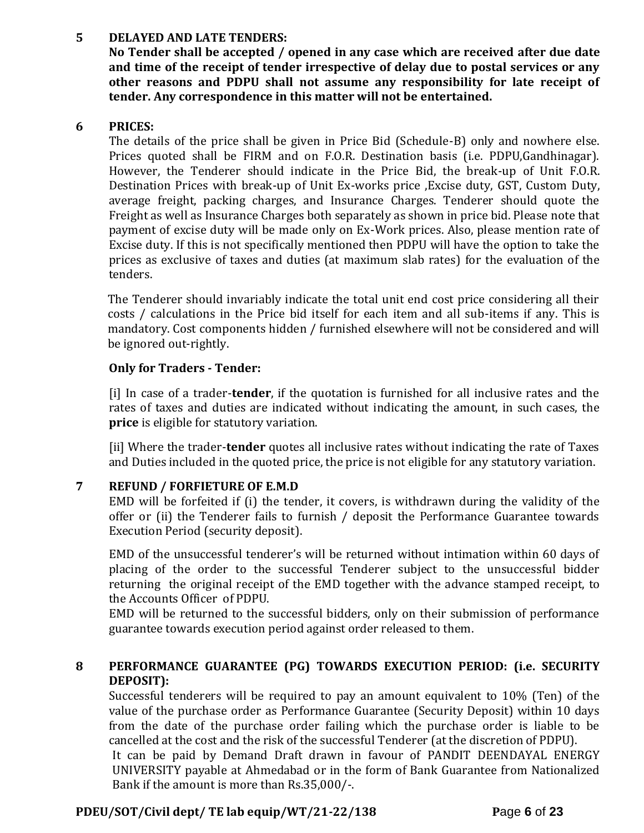# **5 DELAYED AND LATE TENDERS:**

**No Tender shall be accepted / opened in any case which are received after due date and time of the receipt of tender irrespective of delay due to postal services or any other reasons and PDPU shall not assume any responsibility for late receipt of tender. Any correspondence in this matter will not be entertained.**

### **6 PRICES:**

The details of the price shall be given in Price Bid (Schedule-B) only and nowhere else. Prices quoted shall be FIRM and on F.O.R. Destination basis (i.e. PDPU,Gandhinagar). However, the Tenderer should indicate in the Price Bid, the break-up of Unit F.O.R. Destination Prices with break-up of Unit Ex-works price ,Excise duty, GST, Custom Duty, average freight, packing charges, and Insurance Charges. Tenderer should quote the Freight as well as Insurance Charges both separately as shown in price bid. Please note that payment of excise duty will be made only on Ex-Work prices. Also, please mention rate of Excise duty. If this is not specifically mentioned then PDPU will have the option to take the prices as exclusive of taxes and duties (at maximum slab rates) for the evaluation of the tenders.

The Tenderer should invariably indicate the total unit end cost price considering all their costs / calculations in the Price bid itself for each item and all sub-items if any. This is mandatory. Cost components hidden / furnished elsewhere will not be considered and will be ignored out-rightly.

## **Only for Traders - Tender:**

[i] In case of a trader-**tender**, if the quotation is furnished for all inclusive rates and the rates of taxes and duties are indicated without indicating the amount, in such cases, the **price** is eligible for statutory variation.

[ii] Where the trader-**tender** quotes all inclusive rates without indicating the rate of Taxes and Duties included in the quoted price, the price is not eligible for any statutory variation.

# **7 REFUND / FORFIETURE OF E.M.D**

EMD will be forfeited if (i) the tender, it covers, is withdrawn during the validity of the offer or (ii) the Tenderer fails to furnish / deposit the Performance Guarantee towards Execution Period (security deposit).

EMD of the unsuccessful tenderer's will be returned without intimation within 60 days of placing of the order to the successful Tenderer subject to the unsuccessful bidder returning the original receipt of the EMD together with the advance stamped receipt, to the Accounts Officer of PDPU.

EMD will be returned to the successful bidders, only on their submission of performance guarantee towards execution period against order released to them.

# **8 PERFORMANCE GUARANTEE (PG) TOWARDS EXECUTION PERIOD: (i.e. SECURITY DEPOSIT):**

Successful tenderers will be required to pay an amount equivalent to 10% (Ten) of the value of the purchase order as Performance Guarantee (Security Deposit) within 10 days from the date of the purchase order failing which the purchase order is liable to be cancelled at the cost and the risk of the successful Tenderer (at the discretion of PDPU).

It can be paid by Demand Draft drawn in favour of PANDIT DEENDAYAL ENERGY UNIVERSITY payable at Ahmedabad or in the form of Bank Guarantee from Nationalized Bank if the amount is more than Rs.35,000/-.

# **PDEU/SOT/Civil dept/ TE lab equip/WT/21-22/138 P**age **6** of **23**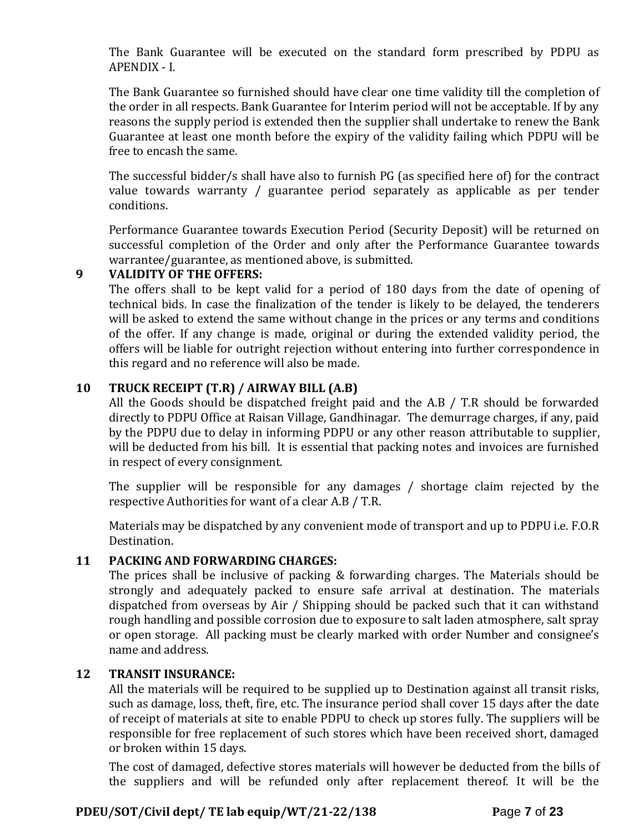The Bank Guarantee will be executed on the standard form prescribed by PDPU as APENDIX - I.

The Bank Guarantee so furnished should have clear one time validity till the completion of the order in all respects. Bank Guarantee for Interim period will not be acceptable. If by any reasons the supply period is extended then the supplier shall undertake to renew the Bank Guarantee at least one month before the expiry of the validity failing which PDPU will be free to encash the same.

The successful bidder/s shall have also to furnish PG (as specified here of) for the contract value towards warranty / guarantee period separately as applicable as per tender conditions.

Performance Guarantee towards Execution Period (Security Deposit) will be returned on successful completion of the Order and only after the Performance Guarantee towards warrantee/guarantee, as mentioned above, is submitted.

### **9 VALIDITY OF THE OFFERS:**

The offers shall to be kept valid for a period of 180 days from the date of opening of technical bids. In case the finalization of the tender is likely to be delayed, the tenderers will be asked to extend the same without change in the prices or any terms and conditions of the offer. If any change is made, original or during the extended validity period, the offers will be liable for outright rejection without entering into further correspondence in this regard and no reference will also be made.

# **10 TRUCK RECEIPT (T.R) / AIRWAY BILL (A.B)**

All the Goods should be dispatched freight paid and the A.B / T.R should be forwarded directly to PDPU Office at Raisan Village, Gandhinagar. The demurrage charges, if any, paid by the PDPU due to delay in informing PDPU or any other reason attributable to supplier, will be deducted from his bill. It is essential that packing notes and invoices are furnished in respect of every consignment.

The supplier will be responsible for any damages / shortage claim rejected by the respective Authorities for want of a clear A.B / T.R.

Materials may be dispatched by any convenient mode of transport and up to PDPU i.e. F.O.R Destination.

# **11 PACKING AND FORWARDING CHARGES:**

The prices shall be inclusive of packing & forwarding charges. The Materials should be strongly and adequately packed to ensure safe arrival at destination. The materials dispatched from overseas by Air / Shipping should be packed such that it can withstand rough handling and possible corrosion due to exposure to salt laden atmosphere, salt spray or open storage. All packing must be clearly marked with order Number and consignee's name and address.

### **12 TRANSIT INSURANCE:**

All the materials will be required to be supplied up to Destination against all transit risks, such as damage, loss, theft, fire, etc. The insurance period shall cover 15 days after the date of receipt of materials at site to enable PDPU to check up stores fully. The suppliers will be responsible for free replacement of such stores which have been received short, damaged or broken within 15 days.

The cost of damaged, defective stores materials will however be deducted from the bills of the suppliers and will be refunded only after replacement thereof. It will be the

# **PDEU/SOT/Civil dept/ TE lab equip/WT/21-22/138 P**age **7** of **23**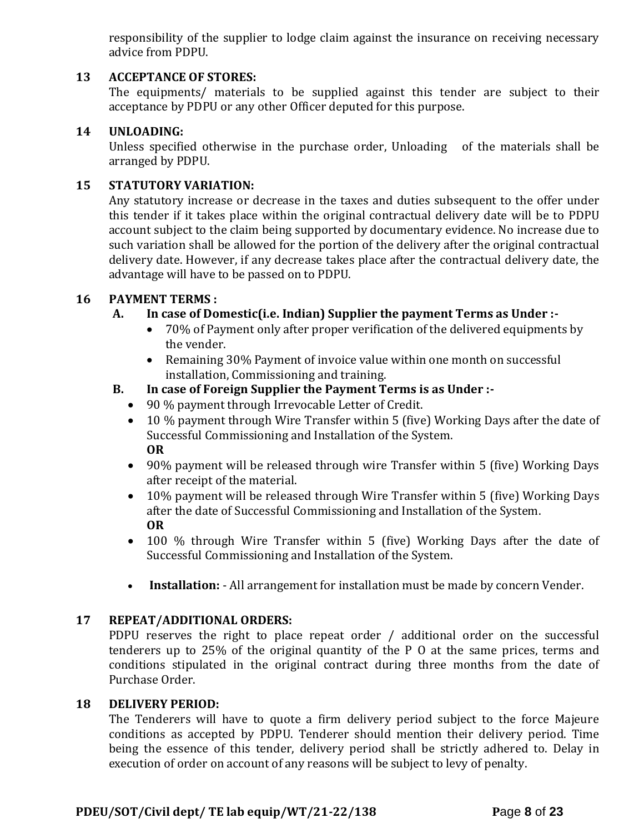responsibility of the supplier to lodge claim against the insurance on receiving necessary advice from PDPU.

### **13 ACCEPTANCE OF STORES:**

The equipments/ materials to be supplied against this tender are subject to their acceptance by PDPU or any other Officer deputed for this purpose.

### **14 UNLOADING:**

Unless specified otherwise in the purchase order, Unloading of the materials shall be arranged by PDPU.

### **15 STATUTORY VARIATION:**

Any statutory increase or decrease in the taxes and duties subsequent to the offer under this tender if it takes place within the original contractual delivery date will be to PDPU account subject to the claim being supported by documentary evidence. No increase due to such variation shall be allowed for the portion of the delivery after the original contractual delivery date. However, if any decrease takes place after the contractual delivery date, the advantage will have to be passed on to PDPU.

#### **16 PAYMENT TERMS :**

### **A. In case of Domestic(i.e. Indian) Supplier the payment Terms as Under :-**

- 70% of Payment only after proper verification of the delivered equipments by the vender.
- Remaining 30% Payment of invoice value within one month on successful installation, Commissioning and training.

### **B. In case of Foreign Supplier the Payment Terms is as Under :-**

- 90 % payment through Irrevocable Letter of Credit.
- 10 % payment through Wire Transfer within 5 (five) Working Days after the date of Successful Commissioning and Installation of the System. **OR**
- 90% payment will be released through wire Transfer within 5 (five) Working Days after receipt of the material.
- 10% payment will be released through Wire Transfer within 5 (five) Working Days after the date of Successful Commissioning and Installation of the System. **OR**
- 100 % through Wire Transfer within 5 (five) Working Days after the date of Successful Commissioning and Installation of the System.
- **Installation:** All arrangement for installation must be made by concern Vender.

### **17 REPEAT/ADDITIONAL ORDERS:**

PDPU reserves the right to place repeat order / additional order on the successful tenderers up to 25% of the original quantity of the P O at the same prices, terms and conditions stipulated in the original contract during three months from the date of Purchase Order.

#### **18 DELIVERY PERIOD:**

The Tenderers will have to quote a firm delivery period subject to the force Majeure conditions as accepted by PDPU. Tenderer should mention their delivery period. Time being the essence of this tender, delivery period shall be strictly adhered to. Delay in execution of order on account of any reasons will be subject to levy of penalty.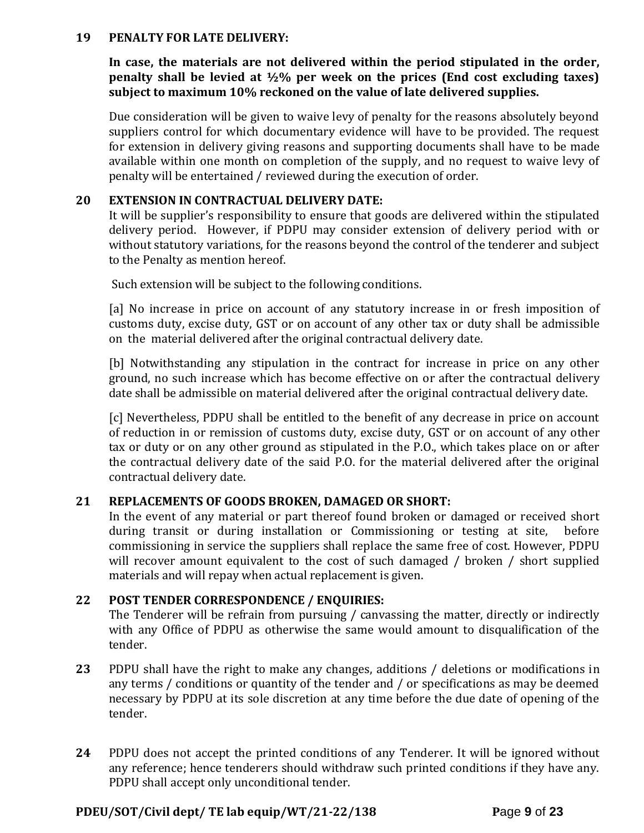#### **19 PENALTY FOR LATE DELIVERY:**

**In case, the materials are not delivered within the period stipulated in the order, penalty shall be levied at ½% per week on the prices (End cost excluding taxes) subject to maximum 10% reckoned on the value of late delivered supplies.**

Due consideration will be given to waive levy of penalty for the reasons absolutely beyond suppliers control for which documentary evidence will have to be provided. The request for extension in delivery giving reasons and supporting documents shall have to be made available within one month on completion of the supply, and no request to waive levy of penalty will be entertained / reviewed during the execution of order.

#### **20 EXTENSION IN CONTRACTUAL DELIVERY DATE:**

It will be supplier's responsibility to ensure that goods are delivered within the stipulated delivery period. However, if PDPU may consider extension of delivery period with or without statutory variations, for the reasons beyond the control of the tenderer and subject to the Penalty as mention hereof.

Such extension will be subject to the following conditions.

[a] No increase in price on account of any statutory increase in or fresh imposition of customs duty, excise duty, GST or on account of any other tax or duty shall be admissible on the material delivered after the original contractual delivery date.

[b] Notwithstanding any stipulation in the contract for increase in price on any other ground, no such increase which has become effective on or after the contractual delivery date shall be admissible on material delivered after the original contractual delivery date.

[c] Nevertheless, PDPU shall be entitled to the benefit of any decrease in price on account of reduction in or remission of customs duty, excise duty, GST or on account of any other tax or duty or on any other ground as stipulated in the P.O., which takes place on or after the contractual delivery date of the said P.O. for the material delivered after the original contractual delivery date.

### **21 REPLACEMENTS OF GOODS BROKEN, DAMAGED OR SHORT:**

In the event of any material or part thereof found broken or damaged or received short during transit or during installation or Commissioning or testing at site, before commissioning in service the suppliers shall replace the same free of cost. However, PDPU will recover amount equivalent to the cost of such damaged / broken / short supplied materials and will repay when actual replacement is given.

### **22 POST TENDER CORRESPONDENCE / ENQUIRIES:**

The Tenderer will be refrain from pursuing / canvassing the matter, directly or indirectly with any Office of PDPU as otherwise the same would amount to disqualification of the tender.

- **23** PDPU shall have the right to make any changes, additions / deletions or modifications in any terms / conditions or quantity of the tender and / or specifications as may be deemed necessary by PDPU at its sole discretion at any time before the due date of opening of the tender.
- **24** PDPU does not accept the printed conditions of any Tenderer. It will be ignored without any reference; hence tenderers should withdraw such printed conditions if they have any. PDPU shall accept only unconditional tender.

### **PDEU/SOT/Civil dept/ TE lab equip/WT/21-22/138 P**age **9** of **23**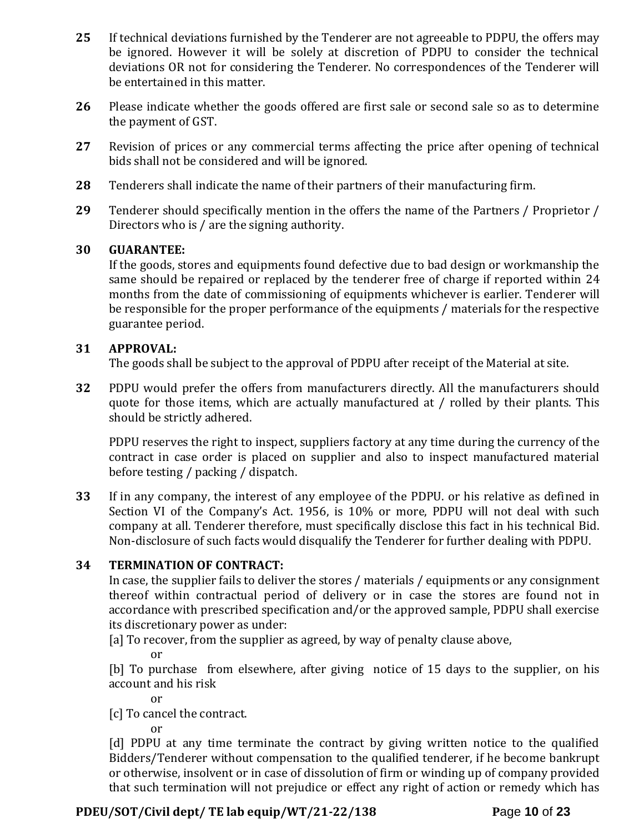- **25** If technical deviations furnished by the Tenderer are not agreeable to PDPU, the offers may be ignored. However it will be solely at discretion of PDPU to consider the technical deviations OR not for considering the Tenderer. No correspondences of the Tenderer will be entertained in this matter.
- **26** Please indicate whether the goods offered are first sale or second sale so as to determine the payment of GST.
- **27** Revision of prices or any commercial terms affecting the price after opening of technical bids shall not be considered and will be ignored.
- **28** Tenderers shall indicate the name of their partners of their manufacturing firm.
- **29** Tenderer should specifically mention in the offers the name of the Partners / Proprietor / Directors who is / are the signing authority.

### **30 GUARANTEE:**

If the goods, stores and equipments found defective due to bad design or workmanship the same should be repaired or replaced by the tenderer free of charge if reported within 24 months from the date of commissioning of equipments whichever is earlier. Tenderer will be responsible for the proper performance of the equipments / materials for the respective guarantee period.

### **31 APPROVAL:**

The goods shall be subject to the approval of PDPU after receipt of the Material at site.

**32** PDPU would prefer the offers from manufacturers directly. All the manufacturers should quote for those items, which are actually manufactured at / rolled by their plants. This should be strictly adhered.

PDPU reserves the right to inspect, suppliers factory at any time during the currency of the contract in case order is placed on supplier and also to inspect manufactured material before testing / packing / dispatch.

**33** If in any company, the interest of any employee of the PDPU. or his relative as defined in Section VI of the Company's Act. 1956, is 10% or more, PDPU will not deal with such company at all. Tenderer therefore, must specifically disclose this fact in his technical Bid. Non-disclosure of such facts would disqualify the Tenderer for further dealing with PDPU.

### **34 TERMINATION OF CONTRACT:**

In case, the supplier fails to deliver the stores / materials / equipments or any consignment thereof within contractual period of delivery or in case the stores are found not in accordance with prescribed specification and/or the approved sample, PDPU shall exercise its discretionary power as under:

[a] To recover, from the supplier as agreed, by way of penalty clause above,

or

[b] To purchase from elsewhere, after giving notice of 15 days to the supplier, on his account and his risk

or

[c] To cancel the contract.

or

[d] PDPU at any time terminate the contract by giving written notice to the qualified Bidders/Tenderer without compensation to the qualified tenderer, if he become bankrupt or otherwise, insolvent or in case of dissolution of firm or winding up of company provided that such termination will not prejudice or effect any right of action or remedy which has

# **PDEU/SOT/Civil dept/ TE lab equip/WT/21-22/138 P**age **10** of **23**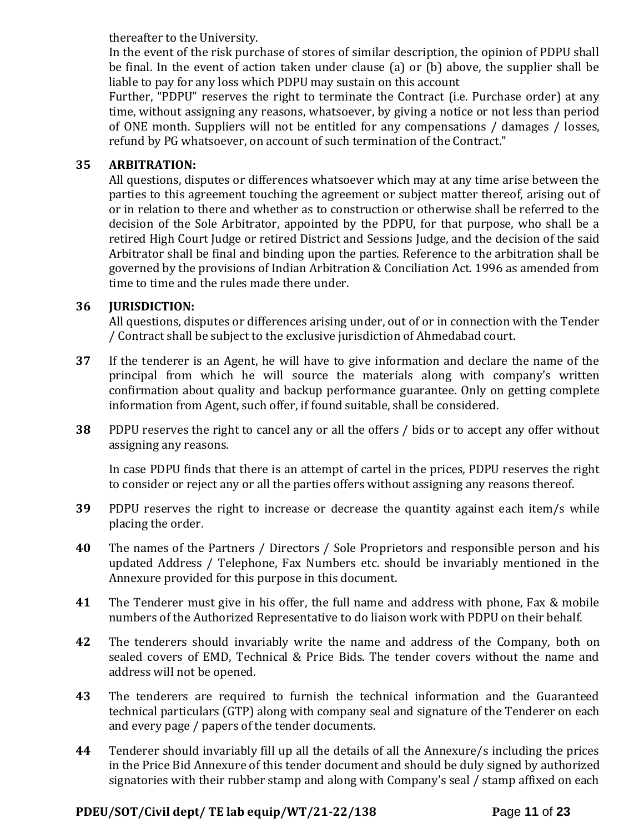thereafter to the University.

In the event of the risk purchase of stores of similar description, the opinion of PDPU shall be final. In the event of action taken under clause (a) or (b) above, the supplier shall be liable to pay for any loss which PDPU may sustain on this account

Further, "PDPU" reserves the right to terminate the Contract (i.e. Purchase order) at any time, without assigning any reasons, whatsoever, by giving a notice or not less than period of ONE month. Suppliers will not be entitled for any compensations / damages / losses, refund by PG whatsoever, on account of such termination of the Contract."

# **35 ARBITRATION:**

All questions, disputes or differences whatsoever which may at any time arise between the parties to this agreement touching the agreement or subject matter thereof, arising out of or in relation to there and whether as to construction or otherwise shall be referred to the decision of the Sole Arbitrator, appointed by the PDPU, for that purpose, who shall be a retired High Court Judge or retired District and Sessions Judge, and the decision of the said Arbitrator shall be final and binding upon the parties. Reference to the arbitration shall be governed by the provisions of Indian Arbitration & Conciliation Act. 1996 as amended from time to time and the rules made there under.

# **36 JURISDICTION:**

All questions, disputes or differences arising under, out of or in connection with the Tender / Contract shall be subject to the exclusive jurisdiction of Ahmedabad court.

- **37** If the tenderer is an Agent, he will have to give information and declare the name of the principal from which he will source the materials along with company's written confirmation about quality and backup performance guarantee. Only on getting complete information from Agent, such offer, if found suitable, shall be considered.
- **38** PDPU reserves the right to cancel any or all the offers / bids or to accept any offer without assigning any reasons.

In case PDPU finds that there is an attempt of cartel in the prices, PDPU reserves the right to consider or reject any or all the parties offers without assigning any reasons thereof.

- **39** PDPU reserves the right to increase or decrease the quantity against each item/s while placing the order.
- **40** The names of the Partners / Directors / Sole Proprietors and responsible person and his updated Address / Telephone, Fax Numbers etc. should be invariably mentioned in the Annexure provided for this purpose in this document.
- **41** The Tenderer must give in his offer, the full name and address with phone, Fax & mobile numbers of the Authorized Representative to do liaison work with PDPU on their behalf.
- **42** The tenderers should invariably write the name and address of the Company, both on sealed covers of EMD, Technical & Price Bids. The tender covers without the name and address will not be opened.
- **43** The tenderers are required to furnish the technical information and the Guaranteed technical particulars (GTP) along with company seal and signature of the Tenderer on each and every page / papers of the tender documents.
- **44** Tenderer should invariably fill up all the details of all the Annexure/s including the prices in the Price Bid Annexure of this tender document and should be duly signed by authorized signatories with their rubber stamp and along with Company's seal / stamp affixed on each

# **PDEU/SOT/Civil dept/ TE lab equip/WT/21-22/138 P**age **11** of **23**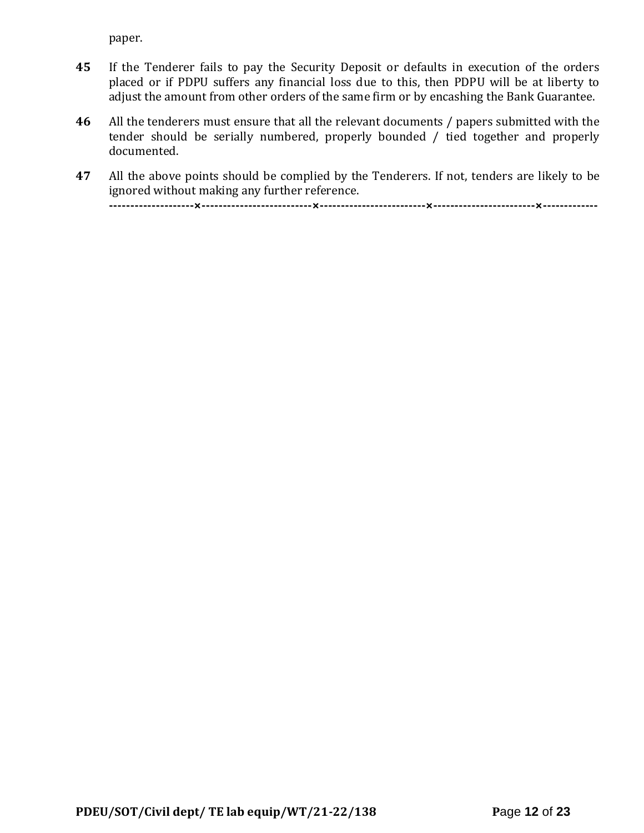paper.

- **45** If the Tenderer fails to pay the Security Deposit or defaults in execution of the orders placed or if PDPU suffers any financial loss due to this, then PDPU will be at liberty to adjust the amount from other orders of the same firm or by encashing the Bank Guarantee.
- **46** All the tenderers must ensure that all the relevant documents / papers submitted with the tender should be serially numbered, properly bounded / tied together and properly documented.
- **47** All the above points should be complied by the Tenderers. If not, tenders are likely to be ignored without making any further reference. **--------------------×--------------------------×-------------------------×------------------------×-------------**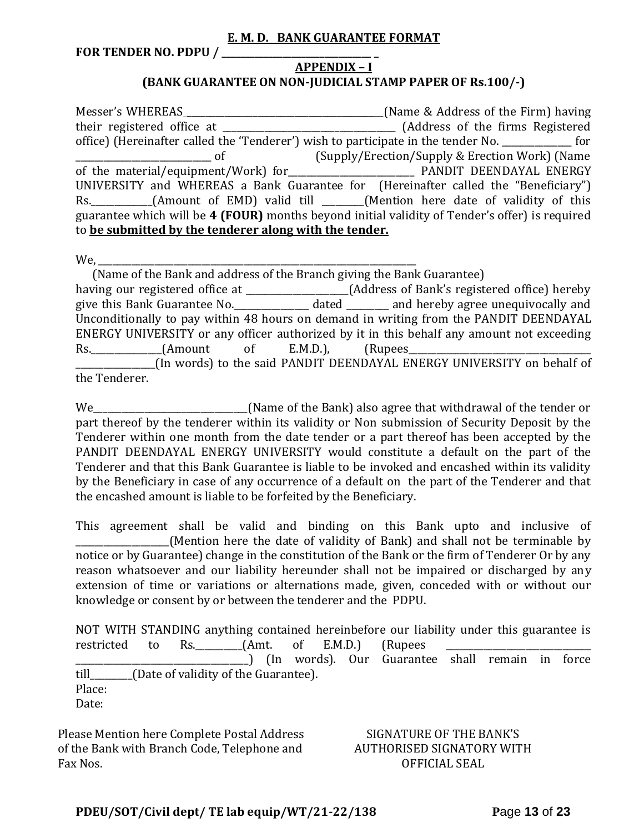#### **E. M. D. BANK GUARANTEE FORMAT**

**FOR TENDER NO. PDPU / \_\_\_\_\_\_\_\_\_\_\_\_\_\_\_\_\_\_\_\_\_\_\_\_\_\_\_\_\_\_\_\_ \_**

### **APPENDIX – I (BANK GUARANTEE ON NON-JUDICIAL STAMP PAPER OF Rs.100/-)**

Messer's WHEREAS \_\_\_\_\_\_\_\_\_\_\_\_\_\_\_\_\_\_\_\_\_\_\_\_\_\_\_\_\_\_\_\_\_\_\_\_\_\_\_\_\_\_(Name & Address of the Firm) having their registered office at \_\_\_\_\_\_\_\_\_\_\_\_\_\_\_\_\_\_\_\_\_\_\_\_\_\_\_\_\_\_\_\_\_\_\_\_\_ (Address of the firms Registered office) (Hereinafter called the 'Tenderer') wish to participate in the tender No. \_\_\_\_\_\_\_\_\_\_\_\_\_\_\_ for \_\_\_\_\_\_\_\_\_\_\_\_\_\_\_\_\_\_\_\_\_\_\_\_\_\_\_\_\_ of (Supply/Erection/Supply & Erection Work) (Name of the material/equipment/Work) for **Every Manual PANDIT DEENDAYAL ENERGY** UNIVERSITY and WHEREAS a Bank Guarantee for (Hereinafter called the "Beneficiary") Rs. \_\_\_\_\_\_\_\_\_\_\_(Amount of EMD) valid till \_\_\_\_\_\_(Mention here date of validity of this guarantee which will be **4 (FOUR)** months beyond initial validity of Tender's offer) is required to **be submitted by the tenderer along with the tender.**

We,

 (Name of the Bank and address of the Branch giving the Bank Guarantee) having our registered office at \_\_\_\_\_\_\_\_\_\_\_\_\_\_\_\_\_\_\_\_\_\_(Address of Bank's registered office) hereby give this Bank Guarantee No.\_\_\_\_\_\_\_\_\_\_\_\_\_\_\_\_ dated \_\_\_\_\_\_\_\_\_ and hereby agree unequivocally and Unconditionally to pay within 48 hours on demand in writing from the PANDIT DEENDAYAL ENERGY UNIVERSITY or any officer authorized by it in this behalf any amount not exceeding Rs. (Amount of E.M.D.), (Rupees \_\_\_\_\_\_\_\_\_\_\_\_\_\_\_\_\_(In words) to the said PANDIT DEENDAYAL ENERGY UNIVERSITY on behalf of the Tenderer.

We\_\_\_\_\_\_\_\_\_\_\_\_\_\_\_\_\_\_\_\_\_\_\_\_\_\_\_\_\_\_\_\_\_(Name of the Bank) also agree that withdrawal of the tender or part thereof by the tenderer within its validity or Non submission of Security Deposit by the Tenderer within one month from the date tender or a part thereof has been accepted by the PANDIT DEENDAYAL ENERGY UNIVERSITY would constitute a default on the part of the Tenderer and that this Bank Guarantee is liable to be invoked and encashed within its validity by the Beneficiary in case of any occurrence of a default on the part of the Tenderer and that the encashed amount is liable to be forfeited by the Beneficiary.

This agreement shall be valid and binding on this Bank upto and inclusive of (Mention here the date of validity of Bank) and shall not be terminable by notice or by Guarantee) change in the constitution of the Bank or the firm of Tenderer Or by any reason whatsoever and our liability hereunder shall not be impaired or discharged by any extension of time or variations or alternations made, given, conceded with or without our knowledge or consent by or between the tenderer and the PDPU.

NOT WITH STANDING anything contained hereinbefore our liability under this guarantee is restricted to Rs. \_\_\_\_\_\_\_\_(Amt. of E.M.D.) (Rupees \_\_\_\_\_\_\_\_\_\_\_\_\_\_\_\_\_\_\_\_\_\_\_\_\_\_\_\_\_\_\_\_\_\_\_\_\_) (In words). Our Guarantee shall remain in force till\_\_\_\_\_\_\_\_\_(Date of validity of the Guarantee). Place: Date:

Please Mention here Complete Postal Address of the Bank with Branch Code, Telephone and Fax Nos.

### SIGNATURE OF THE BANK'S AUTHORISED SIGNATORY WITH OFFICIAL SEAL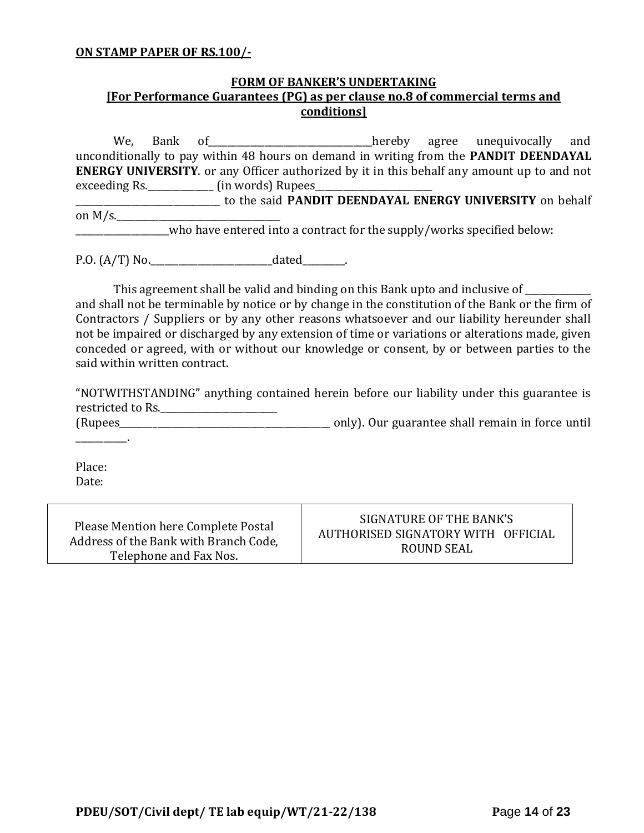#### **ON STAMP PAPER OF RS.100/-**

## **FORM OF BANKER'S UNDERTAKING [For Performance Guarantees (PG) as per clause no.8 of commercial terms and conditions]**

We, Bank of\_\_\_\_\_\_\_\_\_\_\_\_\_\_\_\_\_\_\_\_\_\_\_\_\_\_\_\_\_\_\_\_\_\_\_hereby agree unequivocally and unconditionally to pay within 48 hours on demand in writing from the **PANDIT DEENDAYAL ENERGY UNIVERSITY**. or any Officer authorized by it in this behalf any amount up to and not exceeding Rs. \_\_\_\_\_\_\_\_\_\_\_\_\_\_\_ (in words) Rupees\_\_\_ \_\_\_\_\_\_\_\_\_\_\_\_\_\_\_\_\_\_\_\_\_\_\_\_\_\_\_\_\_\_\_ to the said **PANDIT DEENDAYAL ENERGY UNIVERSITY** on behalf on  $M/s$ . \_\_\_\_\_\_\_\_\_\_\_\_\_\_\_\_\_\_\_\_who have entered into a contract for the supply/works specified below:

P.O. (A/T) No.\_\_\_\_\_\_\_\_\_\_\_\_\_\_\_\_\_\_\_\_\_\_\_\_\_\_dated\_\_\_\_\_\_\_\_\_.

This agreement shall be valid and binding on this Bank upto and inclusive of \_\_\_\_\_\_\_\_\_\_ and shall not be terminable by notice or by change in the constitution of the Bank or the firm of Contractors / Suppliers or by any other reasons whatsoever and our liability hereunder shall not be impaired or discharged by any extension of time or variations or alterations made, given conceded or agreed, with or without our knowledge or consent, by or between parties to the said within written contract.

"NOTWITHSTANDING" anything contained herein before our liability under this guarantee is restricted to Rs.\_\_\_\_\_\_\_\_\_\_\_\_\_\_\_\_\_\_\_\_\_\_\_\_\_

(Rupees\_\_\_\_\_\_\_\_\_\_\_\_\_\_\_\_\_\_\_\_\_\_\_\_\_\_\_\_\_\_\_\_\_\_\_\_\_\_\_\_\_\_\_\_\_ only). Our guarantee shall remain in force until

Place: Date:

 $\mathcal{L}=\mathcal{L}^{\mathcal{L}}$ 

| Please Mention here Complete Postal   | SIGNATURE OF THE BANK'S            |
|---------------------------------------|------------------------------------|
| Address of the Bank with Branch Code, | AUTHORISED SIGNATORY WITH OFFICIAL |
| Telephone and Fax Nos.                | ROUND SEAL                         |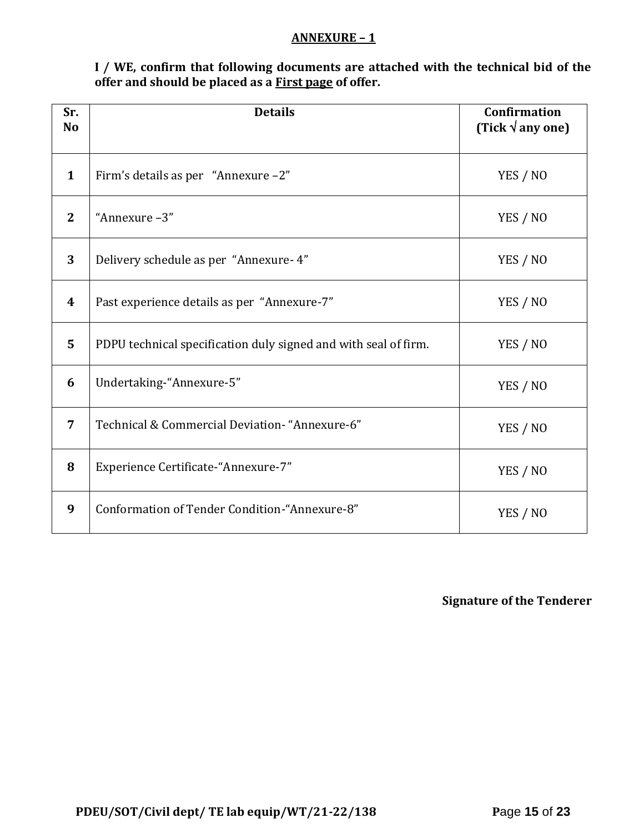### **ANNEXURE – 1**

**I / WE, confirm that following documents are attached with the technical bid of the offer and should be placed as a First page of offer.**

| Sr.<br><b>No</b> | <b>Details</b>                                                  | <b>Confirmation</b><br>(Tick $\sqrt{$ any one) |
|------------------|-----------------------------------------------------------------|------------------------------------------------|
| $\mathbf{1}$     | Firm's details as per "Annexure -2"                             | YES / NO                                       |
| $\overline{2}$   | "Annexure-3"                                                    | YES / NO                                       |
| 3                | Delivery schedule as per "Annexure- 4"                          | YES / NO                                       |
| 4                | Past experience details as per "Annexure-7"                     | YES / NO                                       |
| 5                | PDPU technical specification duly signed and with seal of firm. | YES / NO                                       |
| 6                | Undertaking-"Annexure-5"                                        | YES / NO                                       |
| 7                | Technical & Commercial Deviation- "Annexure-6"                  | YES / NO                                       |
| 8                | Experience Certificate-"Annexure-7"                             | YES / NO                                       |
| 9                | Conformation of Tender Condition-"Annexure-8"                   | YES / NO                                       |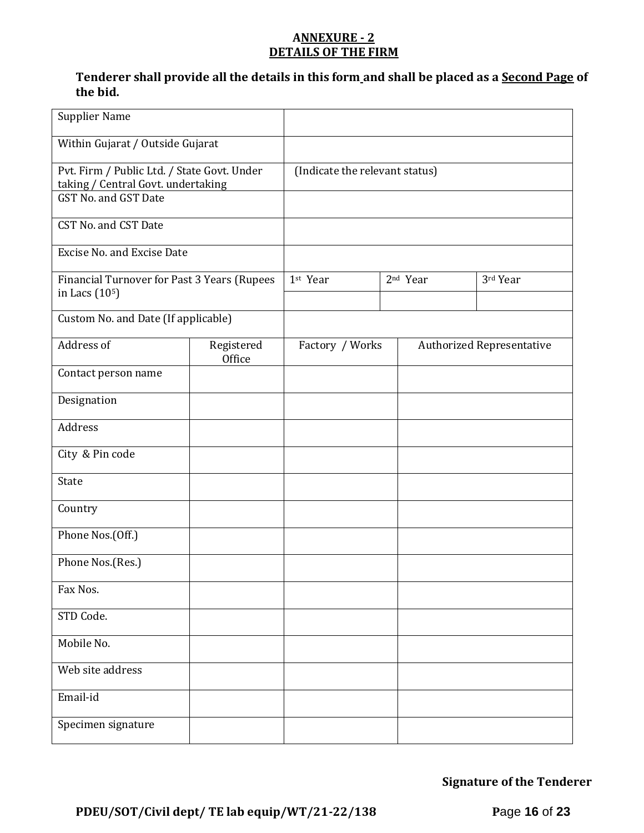# **ANNEXURE - 2 DETAILS OF THE FIRM**

# **Tenderer shall provide all the details in this form and shall be placed as a Second Page of the bid.**

| <b>Supplier Name</b>                                                                                      |                      |                                |                      |                                  |
|-----------------------------------------------------------------------------------------------------------|----------------------|--------------------------------|----------------------|----------------------------------|
| Within Gujarat / Outside Gujarat                                                                          |                      |                                |                      |                                  |
| Pvt. Firm / Public Ltd. / State Govt. Under<br>taking / Central Govt. undertaking<br>GST No. and GST Date |                      | (Indicate the relevant status) |                      |                                  |
| CST No. and CST Date                                                                                      |                      |                                |                      |                                  |
| <b>Excise No. and Excise Date</b>                                                                         |                      |                                |                      |                                  |
| Financial Turnover for Past 3 Years (Rupees<br>in Lacs (10 <sup>5</sup> )                                 |                      | 1st Year                       | 2 <sup>nd</sup> Year | 3rd Year                         |
| Custom No. and Date (If applicable)                                                                       |                      |                                |                      |                                  |
| Address of                                                                                                | Registered<br>Office | Factory / Works                |                      | <b>Authorized Representative</b> |
| Contact person name                                                                                       |                      |                                |                      |                                  |
| Designation                                                                                               |                      |                                |                      |                                  |
| Address                                                                                                   |                      |                                |                      |                                  |
| City & Pin code                                                                                           |                      |                                |                      |                                  |
| State                                                                                                     |                      |                                |                      |                                  |
| Country                                                                                                   |                      |                                |                      |                                  |
| Phone Nos.(Off.)                                                                                          |                      |                                |                      |                                  |
| Phone Nos.(Res.)                                                                                          |                      |                                |                      |                                  |
| Fax Nos.                                                                                                  |                      |                                |                      |                                  |
| STD Code.                                                                                                 |                      |                                |                      |                                  |
| Mobile No.                                                                                                |                      |                                |                      |                                  |
| Web site address                                                                                          |                      |                                |                      |                                  |
| Email-id                                                                                                  |                      |                                |                      |                                  |
| Specimen signature                                                                                        |                      |                                |                      |                                  |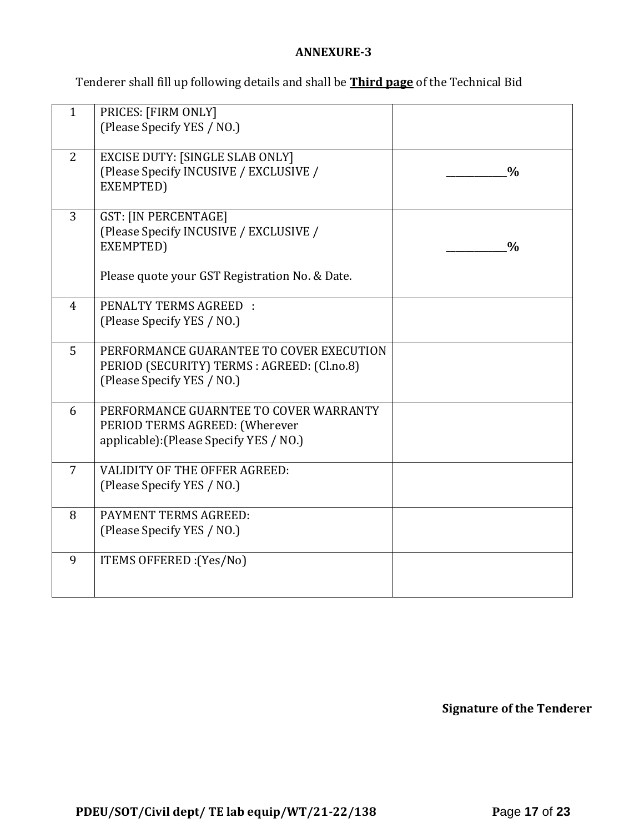# **ANNEXURE-3**

Tenderer shall fill up following details and shall be **Third page** of the Technical Bid

| $\mathbf{1}$   | PRICES: [FIRM ONLY]<br>(Please Specify YES / NO.)                                                                                    |               |
|----------------|--------------------------------------------------------------------------------------------------------------------------------------|---------------|
| 2              | <b>EXCISE DUTY: [SINGLE SLAB ONLY]</b><br>(Please Specify INCUSIVE / EXCLUSIVE /<br>EXEMPTED)                                        | $\frac{0}{0}$ |
| $\overline{3}$ | <b>GST: [IN PERCENTAGE]</b><br>(Please Specify INCUSIVE / EXCLUSIVE /<br>EXEMPTED)<br>Please quote your GST Registration No. & Date. | $\frac{0}{0}$ |
|                |                                                                                                                                      |               |
| $\overline{4}$ | <b>PENALTY TERMS AGREED:</b><br>(Please Specify YES / NO.)                                                                           |               |
| 5              | PERFORMANCE GUARANTEE TO COVER EXECUTION<br>PERIOD (SECURITY) TERMS : AGREED: (Cl.no.8)<br>(Please Specify YES / NO.)                |               |
| 6              | PERFORMANCE GUARNTEE TO COVER WARRANTY<br>PERIOD TERMS AGREED: (Wherever<br>applicable): (Please Specify YES / NO.)                  |               |
| $\overline{7}$ | VALIDITY OF THE OFFER AGREED:<br>(Please Specify YES / NO.)                                                                          |               |
| 8              | PAYMENT TERMS AGREED:<br>(Please Specify YES / NO.)                                                                                  |               |
| 9              | ITEMS OFFERED : (Yes/No)                                                                                                             |               |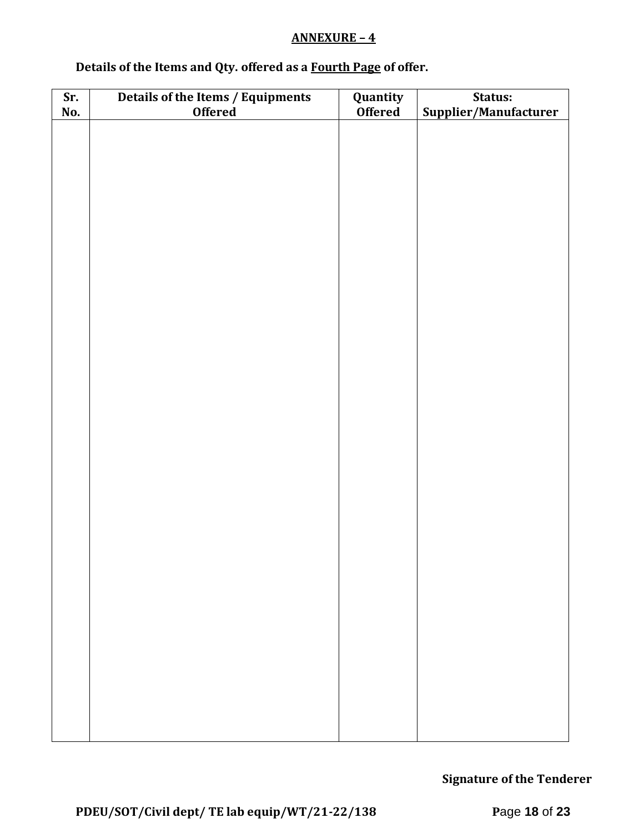# **ANNEXURE – 4**

# **Details of the Items and Qty. offered as a Fourth Page of offer.**

| Sr. | Details of the Items / Equipments | Quantity       | Status:               |  |  |  |
|-----|-----------------------------------|----------------|-----------------------|--|--|--|
| No. | <b>Offered</b>                    | <b>Offered</b> | Supplier/Manufacturer |  |  |  |
|     |                                   |                |                       |  |  |  |
|     |                                   |                |                       |  |  |  |
|     |                                   |                |                       |  |  |  |
|     |                                   |                |                       |  |  |  |
|     |                                   |                |                       |  |  |  |
|     |                                   |                |                       |  |  |  |
|     |                                   |                |                       |  |  |  |
|     |                                   |                |                       |  |  |  |
|     |                                   |                |                       |  |  |  |
|     |                                   |                |                       |  |  |  |
|     |                                   |                |                       |  |  |  |
|     |                                   |                |                       |  |  |  |
|     |                                   |                |                       |  |  |  |
|     |                                   |                |                       |  |  |  |
|     |                                   |                |                       |  |  |  |
|     |                                   |                |                       |  |  |  |
|     |                                   |                |                       |  |  |  |
|     |                                   |                |                       |  |  |  |
|     |                                   |                |                       |  |  |  |
|     |                                   |                |                       |  |  |  |
|     |                                   |                |                       |  |  |  |
|     |                                   |                |                       |  |  |  |
|     |                                   |                |                       |  |  |  |
|     |                                   |                |                       |  |  |  |
|     |                                   |                |                       |  |  |  |
|     |                                   |                |                       |  |  |  |
|     |                                   |                |                       |  |  |  |
|     |                                   |                |                       |  |  |  |
|     |                                   |                |                       |  |  |  |
|     |                                   |                |                       |  |  |  |
|     |                                   |                |                       |  |  |  |
|     |                                   |                |                       |  |  |  |
|     |                                   |                |                       |  |  |  |
|     |                                   |                |                       |  |  |  |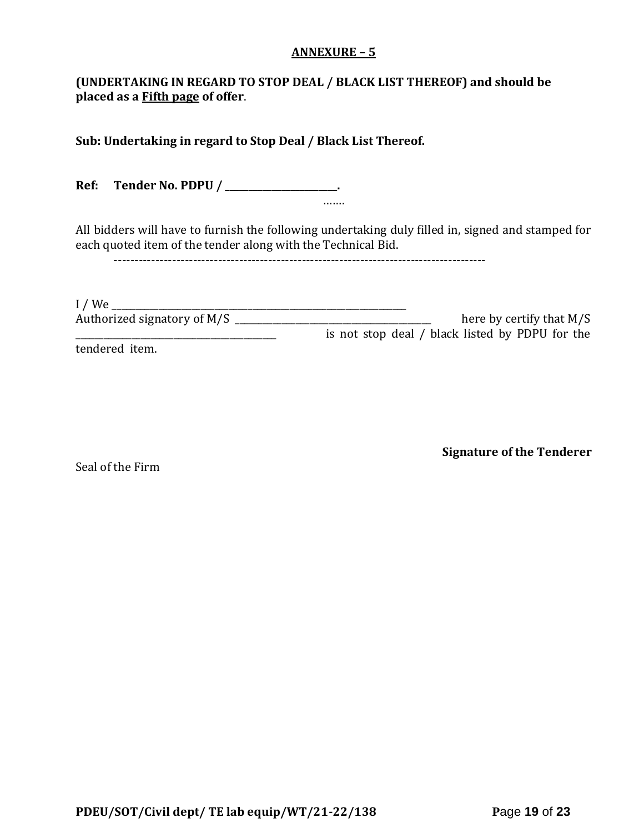### **ANNEXURE – 5**

# **(UNDERTAKING IN REGARD TO STOP DEAL / BLACK LIST THEREOF) and should be placed as a Fifth page of offer**.

**Sub: Undertaking in regard to Stop Deal / Black List Thereof.**

**Ref: Tender No. PDPU / \_\_\_\_\_\_\_\_\_\_\_\_\_\_\_\_\_\_\_\_\_\_\_\_.** …….

All bidders will have to furnish the following undertaking duly filled in, signed and stamped for each quoted item of the tender along with the Technical Bid.

-----------------------------------------------------------------------------------------

| I/We                        |                                                 |
|-----------------------------|-------------------------------------------------|
| Authorized signatory of M/S | here by certify that $M/S$                      |
|                             | is not stop deal / black listed by PDPU for the |
| tendered item.              |                                                 |

Seal of the Firm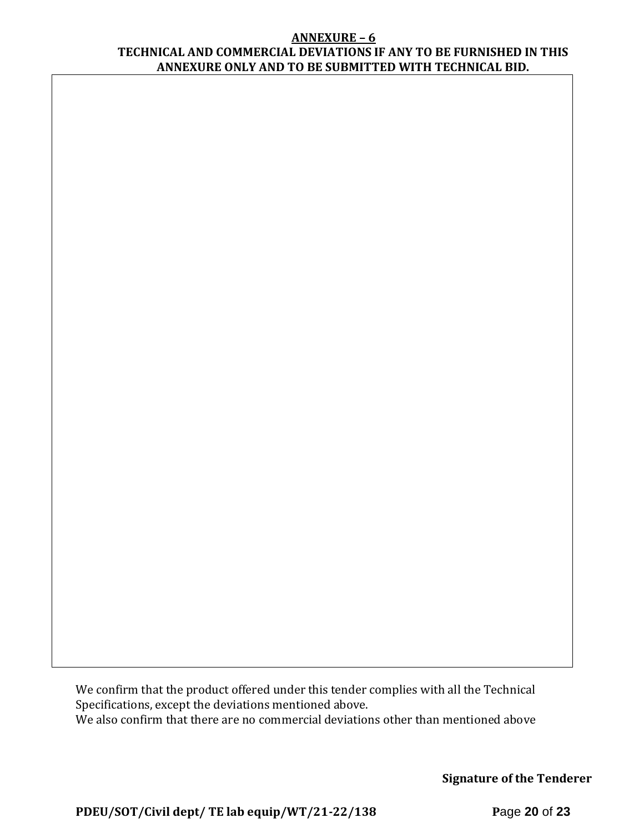#### **ANNEXURE – 6 TECHNICAL AND COMMERCIAL DEVIATIONS IF ANY TO BE FURNISHED IN THIS ANNEXURE ONLY AND TO BE SUBMITTED WITH TECHNICAL BID.**

We confirm that the product offered under this tender complies with all the Technical Specifications, except the deviations mentioned above. We also confirm that there are no commercial deviations other than mentioned above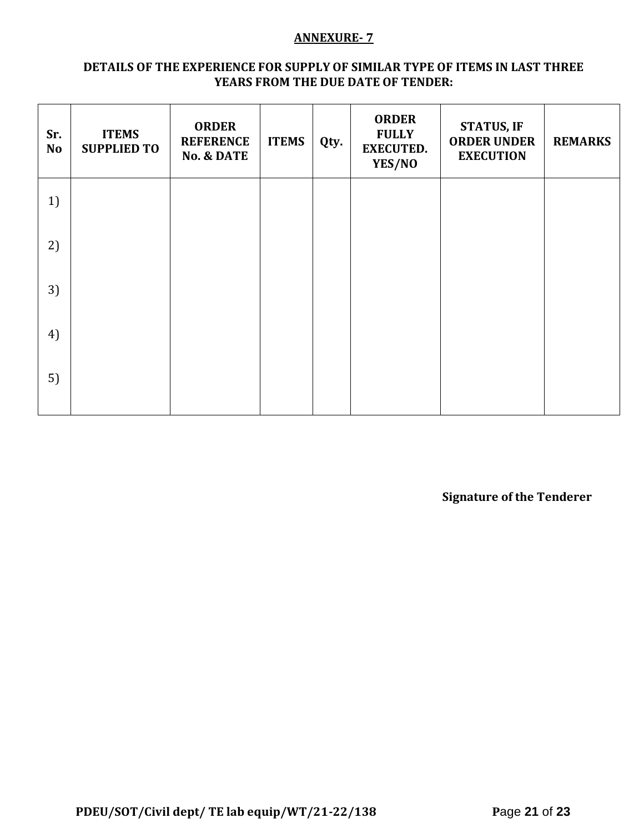## **ANNEXURE- 7**

### **DETAILS OF THE EXPERIENCE FOR SUPPLY OF SIMILAR TYPE OF ITEMS IN LAST THREE YEARS FROM THE DUE DATE OF TENDER:**

| Sr.<br><b>No</b> | <b>ITEMS</b><br><b>SUPPLIED TO</b> | <b>ORDER</b><br><b>REFERENCE</b><br><b>No. &amp; DATE</b> | <b>ITEMS</b> | Qty. | <b>ORDER</b><br><b>FULLY</b><br><b>EXECUTED.</b><br>YES/NO | <b>STATUS, IF</b><br><b>ORDER UNDER</b><br><b>EXECUTION</b> | <b>REMARKS</b> |
|------------------|------------------------------------|-----------------------------------------------------------|--------------|------|------------------------------------------------------------|-------------------------------------------------------------|----------------|
| 1)               |                                    |                                                           |              |      |                                                            |                                                             |                |
| 2)               |                                    |                                                           |              |      |                                                            |                                                             |                |
| 3)               |                                    |                                                           |              |      |                                                            |                                                             |                |
| 4)               |                                    |                                                           |              |      |                                                            |                                                             |                |
| 5)               |                                    |                                                           |              |      |                                                            |                                                             |                |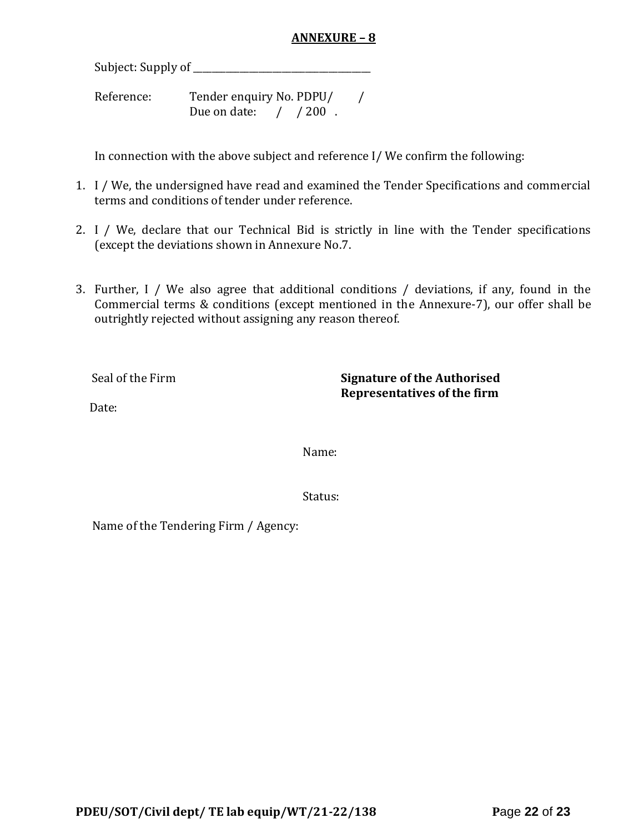# **ANNEXURE – 8**

Subject: Supply of \_\_\_\_\_\_\_\_\_\_\_\_\_\_\_\_\_\_\_\_\_\_\_\_\_\_\_\_\_\_\_\_\_\_\_\_\_\_

Reference: Tender enquiry No. PDPU/ / Due on date: / / 200.

In connection with the above subject and reference I/ We confirm the following:

- 1. I / We, the undersigned have read and examined the Tender Specifications and commercial terms and conditions of tender under reference.
- 2. I / We, declare that our Technical Bid is strictly in line with the Tender specifications (except the deviations shown in Annexure No.7.
- 3. Further, I / We also agree that additional conditions / deviations, if any, found in the Commercial terms & conditions (except mentioned in the Annexure-7), our offer shall be outrightly rejected without assigning any reason thereof.

Seal of the Firm **Signature of the Authorised Representatives of the firm**

Date:

Name:

Status:

Name of the Tendering Firm / Agency: